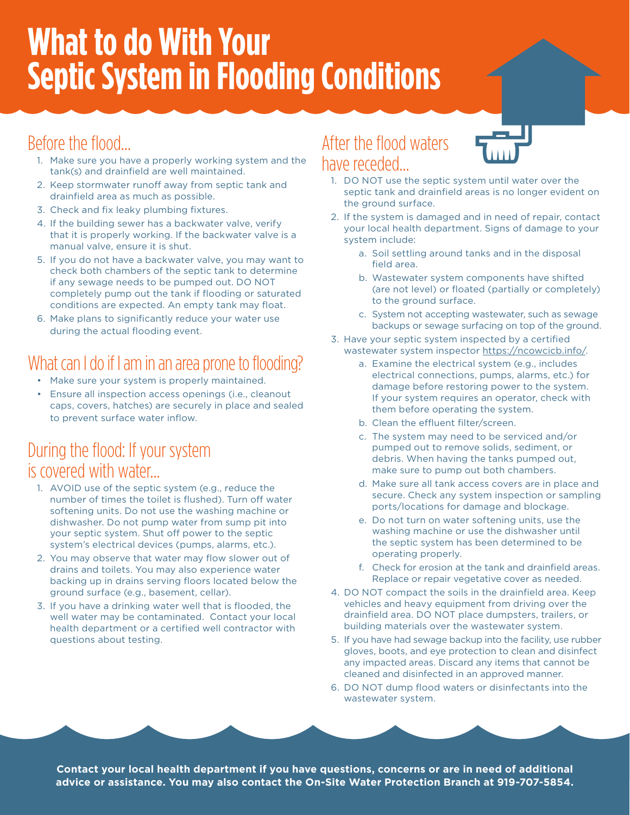## **What to do With Your Septic System in Flooding Conditions**

## Before the flood…

- 1. Make sure you have a properly working system and the tank(s) and drainfield are well maintained.
- 2. Keep stormwater runoff away from septic tank and drainfield area as much as possible.
- 3. Check and fix leaky plumbing fixtures.
- 4. If the building sewer has a backwater valve, verify that it is properly working. If the backwater valve is a manual valve, ensure it is shut.
- 5. If you do not have a backwater valve, you may want to check both chambers of the septic tank to determine if any sewage needs to be pumped out. DO NOT completely pump out the tank if flooding or saturated conditions are expected. An empty tank may float.
- 6. Make plans to significantly reduce your water use during the actual flooding event.

## What can I do if I am in an area prone to flooding?

- Make sure your system is properly maintained.
- Ensure all inspection access openings (i.e., cleanout caps, covers, hatches) are securely in place and sealed to prevent surface water inflow.

### During the flood: If your system is covered with water…

- 1. AVOID use of the septic system (e.g., reduce the number of times the toilet is flushed). Turn off water softening units. Do not use the washing machine or dishwasher. Do not pump water from sump pit into your septic system. Shut off power to the septic system's electrical devices (pumps, alarms, etc.).
- 2. You may observe that water may flow slower out of drains and toilets. You may also experience water backing up in drains serving floors located below the ground surface (e.g., basement, cellar).
- 3. If you have a drinking water well that is flooded, the well water may be contaminated. Contact your local health department or a certified well contractor with questions about testing.

### After the flood waters have receded…



- 1. DO NOT use the septic system until water over the septic tank and drainfield areas is no longer evident on the ground surface.
- 2. If the system is damaged and in need of repair, contact your local health department. Signs of damage to your system include:
	- a. Soil settling around tanks and in the disposal field area.
	- b. Wastewater system components have shifted (are not level) or floated (partially or completely) to the ground surface.
	- c. System not accepting wastewater, such as sewage backups or sewage surfacing on top of the ground.
- 3. Have your septic system inspected by a certified wastewater system inspector<https://ncowcicb.info/>.
	- a. Examine the electrical system (e.g., includes electrical connections, pumps, alarms, etc.) for damage before restoring power to the system. If your system requires an operator, check with them before operating the system.
	- b. Clean the effluent filter/screen.
	- c. The system may need to be serviced and/or pumped out to remove solids, sediment, or debris. When having the tanks pumped out, make sure to pump out both chambers.
	- d. Make sure all tank access covers are in place and secure. Check any system inspection or sampling ports/locations for damage and blockage.
	- e. Do not turn on water softening units, use the washing machine or use the dishwasher until the septic system has been determined to be operating properly.
	- f. Check for erosion at the tank and drainfield areas. Replace or repair vegetative cover as needed.
- 4. DO NOT compact the soils in the drainfield area. Keep vehicles and heavy equipment from driving over the drainfield area. DO NOT place dumpsters, trailers, or building materials over the wastewater system.
- 5. If you have had sewage backup into the facility, use rubber gloves, boots, and eye protection to clean and disinfect any impacted areas. Discard any items that cannot be cleaned and disinfected in an approved manner.
- 6. DO NOT dump flood waters or disinfectants into the wastewater system.

**Contact your local health department if you have questions, concerns or are in need of additional advice or assistance. You may also contact the On-Site Water Protection Branch at 919-707-5854.**